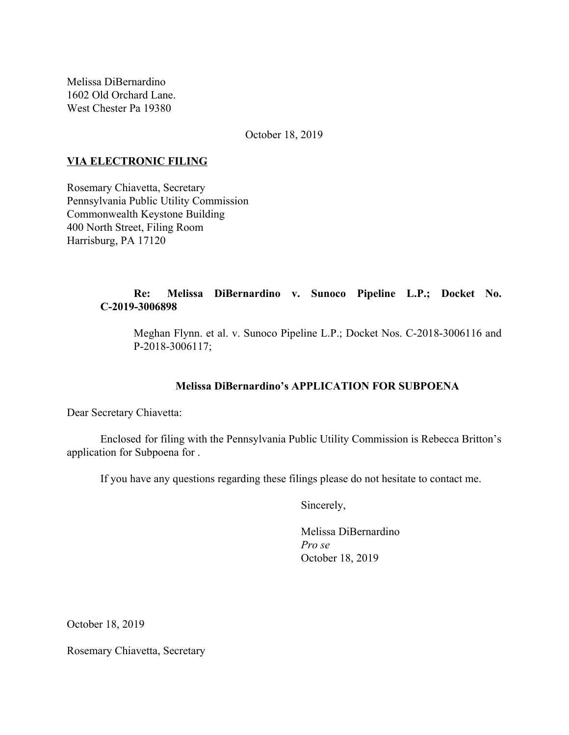Melissa DiBernardino 1602 Old Orchard Lane. West Chester Pa 19380

October 18, 2019

# **VIA ELECTRONIC FILING**

Rosemary Chiavetta, Secretary Pennsylvania Public Utility Commission Commonwealth Keystone Building 400 North Street, Filing Room Harrisburg, PA 17120

# **Re: Melissa DiBernardino v. Sunoco Pipeline L.P.; Docket No. C-2019-3006898**

Meghan Flynn. et al. v. Sunoco Pipeline L.P.; Docket Nos. C-2018-3006116 and P-2018-3006117;

# **Melissa DiBernardino's APPLICATION FOR SUBPOENA**

Dear Secretary Chiavetta:

Enclosed for filing with the Pennsylvania Public Utility Commission is Rebecca Britton's application for Subpoena for .

If you have any questions regarding these filings please do not hesitate to contact me.

Sincerely,

Melissa DiBernardino *Pro se* October 18, 2019

October 18, 2019

Rosemary Chiavetta, Secretary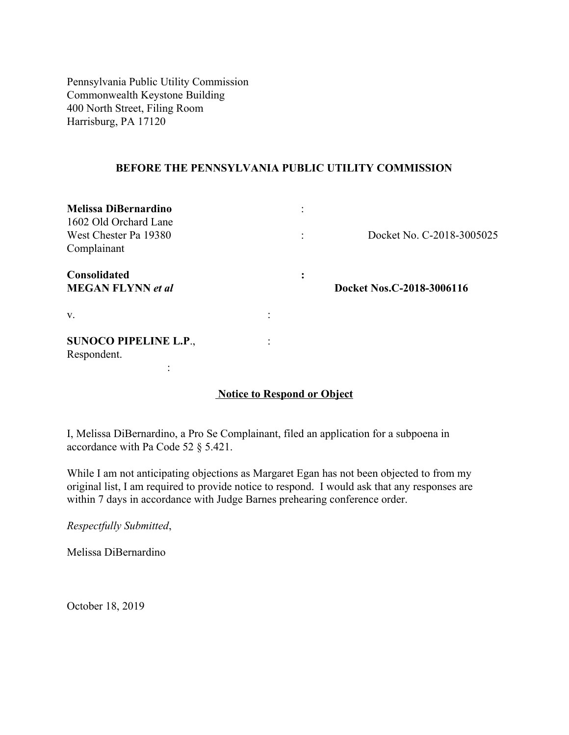Pennsylvania Public Utility Commission Commonwealth Keystone Building 400 North Street, Filing Room Harrisburg, PA 17120

## **BEFORE THE PENNSYLVANIA PUBLIC UTILITY COMMISSION**

| <b>Melissa DiBernardino</b><br>1602 Old Orchard Lane<br>West Chester Pa 19380<br>Complainant |                | Docket No. C-2018-3005025 |
|----------------------------------------------------------------------------------------------|----------------|---------------------------|
| <b>Consolidated</b><br><b>MEGAN FLYNN</b> et al                                              | ٠<br>$\bullet$ | Docket Nos.C-2018-3006116 |
| V.                                                                                           |                |                           |
| <b>SUNOCO PIPELINE L.P.,</b><br>Respondent.                                                  |                |                           |

# **Notice to Respond or Object**

I, Melissa DiBernardino, a Pro Se Complainant, filed an application for a subpoena in accordance with Pa Code 52 § 5.421.

While I am not anticipating objections as Margaret Egan has not been objected to from my original list, I am required to provide notice to respond. I would ask that any responses are within 7 days in accordance with Judge Barnes prehearing conference order.

*Respectfully Submitted*,

Melissa DiBernardino

October 18, 2019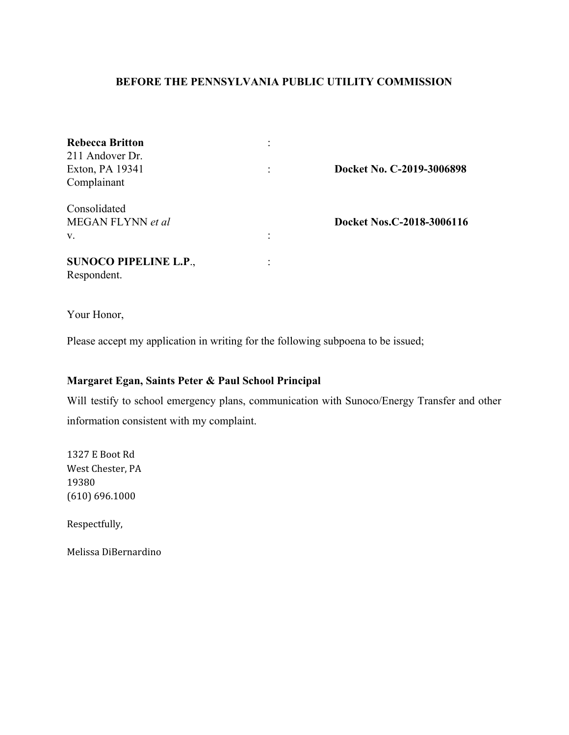## **BEFORE THE PENNSYLVANIA PUBLIC UTILITY COMMISSION**

| <b>Rebecca Britton</b>       |   |                           |
|------------------------------|---|---------------------------|
| 211 Andover Dr.              |   |                           |
| Exton, PA 19341              | ٠ | Docket No. C-2019-3006898 |
| Complainant                  |   |                           |
| Consolidated                 |   |                           |
| MEGAN FLYNN et al            |   | Docket Nos.C-2018-3006116 |
| $V_{\cdot}$                  |   |                           |
| <b>SUNOCO PIPELINE L.P.,</b> |   |                           |
| Respondent.                  |   |                           |

Your Honor,

Please accept my application in writing for the following subpoena to be issued;

# **Margaret Egan, Saints Peter & Paul School Principal**

Will testify to school emergency plans, communication with Sunoco/Energy Transfer and other information consistent with my complaint.

1327 E Boot Rd West Chester, PA 19380 (610) 696.1000

Respectfully,

Melissa DiBernardino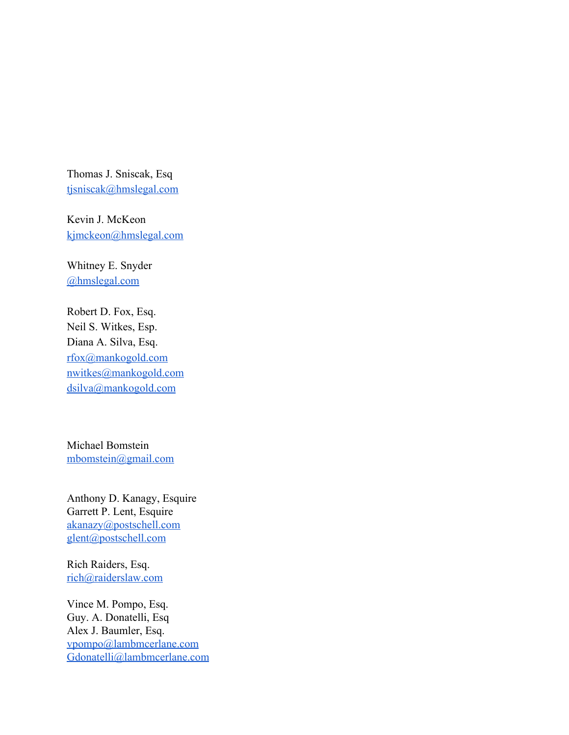Thomas J. Sniscak, Esq [tjsniscak@hmslegal.com](mailto:tjsniscak@hmslegal.com)

Kevin J. McKeon [kjmckeon@hmslegal.com](mailto:kjmckeon@hmslegal.com)

Whitney E. Snyder [@hmslegal.com](mailto:wesnyder@hmslegal.com)

Robert D. Fox, Esq. Neil S. Witkes, Esp. Diana A. Silva, Esq. [rfox@mankogold.com](mailto:rfox@mankogold.com) [nwitkes@mankogold.com](mailto:nwitkes@mankogold.com) [dsilva@mankogold.com](mailto:dsilva@mankogold.com)

Michael Bomstein [mbomstein@gmail.com](mailto:mbomstein@gmail.com)

Anthony D. Kanagy, Esquire Garrett P. Lent, Esquire [akanazy@postschell.com](mailto:akanazy@postschell.com) [glent@postschell.com](mailto:glent@postschell.com)

Rich Raiders, Esq. [rich@raiderslaw.com](mailto:rich@raiderslaw.com)

Vince M. Pompo, Esq. Guy. A. Donatelli, Esq Alex J. Baumler, Esq. [vpompo@lambmcerlane.com](mailto:vpompo@lambmcerlane.com) [Gdonatelli@lambmcerlane.com](mailto:Gdonatelli@lambmcerlane.com)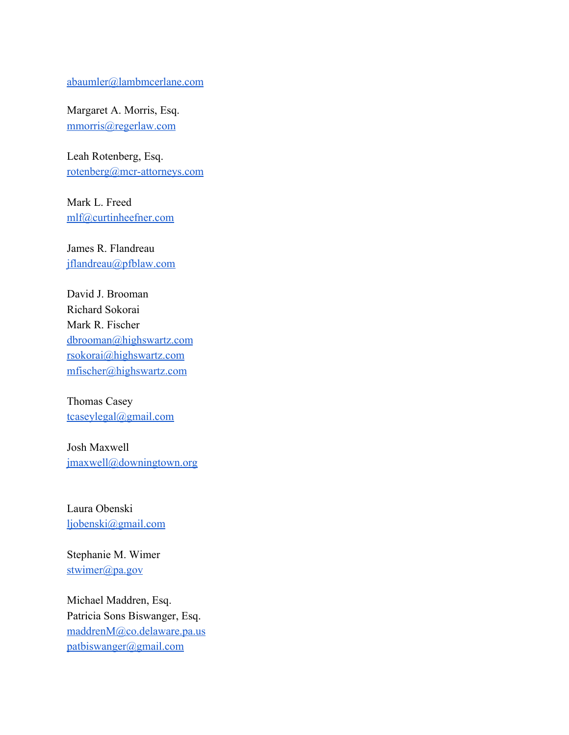#### [abaumler@lambmcerlane.com](mailto:abaumler@lambmcerlane.com)

Margaret A. Morris, Esq. [mmorris@regerlaw.com](mailto:mmorris@regerlaw.com)

Leah Rotenberg, Esq. [rotenberg@mcr-attorneys.com](mailto:rotenberg@mcr-attorneys.com)

Mark L. Freed [mlf@curtinheefner.com](mailto:mlf@curtinheefner.com)

James R. Flandreau [jflandreau@pfblaw.com](mailto:jflandreau@pfblaw.com)

David J. Brooman Richard Sokorai Mark R. Fischer [dbrooman@highswartz.com](mailto:dbrooman@highswartz.com) [rsokorai@highswartz.com](mailto:rsokorai@highswartz.com) [mfischer@highswartz.com](mailto:mfischer@highswartz.com)

Thomas Casey [tcaseylegal@gmail.com](mailto:tcaseylegal@gmail.com)

Josh Maxwell [jmaxwell@downingtown.org](mailto:jmaxwell@downingtown.org)

Laura Obenski [ljobenski@gmail.com](mailto:ljobenski@gmail.com)

Stephanie M. Wimer [stwimer@pa.gov](mailto:stwimer@pa.gov)

Michael Maddren, Esq. Patricia Sons Biswanger, Esq. [maddrenM@co.delaware.pa.us](mailto:maddrenM@co.delaware.pa.us) [patbiswanger@gmail.com](mailto:patbiswanger@gmail.com)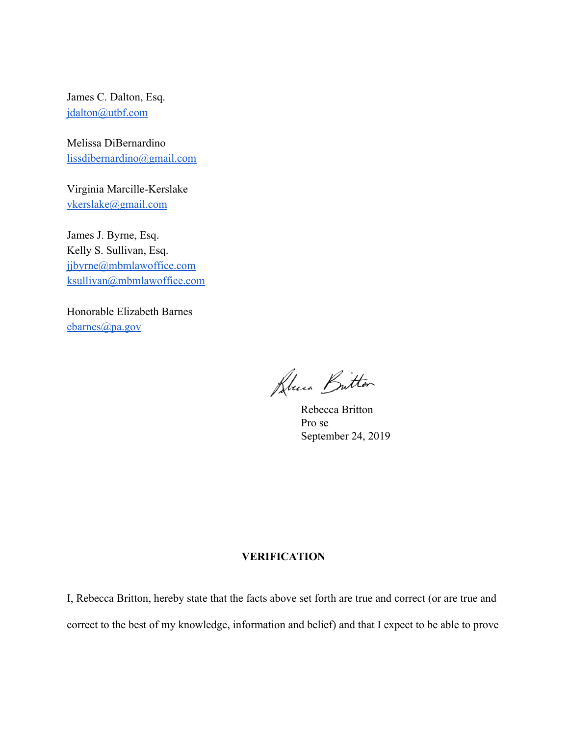James C. Dalton, Esq. [jdalton@utbf.com](mailto:jdalton@utbf.com)

Melissa DiBernardino [lissdibernardino@gmail.com](mailto:lissdibernardino@gmail.com)

Virginia Marcille-Kerslake [vkerslake@gmail.com](mailto:vkerslake@gmail.com)

James J. Byrne, Esq. Kelly S. Sullivan, Esq. [jjbyrne@mbmlawoffice.com](mailto:jjbyrne@mbmlawoffice.com) [ksullivan@mbmlawoffice.com](mailto:ksullivan@mbmlawoffice.com)

Honorable Elizabeth Barnes [ebarnes@pa.gov](mailto:ebarnes@pa.gov)

Lluca Britton

Rebecca Britton Pro se September 24, 2019

### **VERIFICATION**

I, Rebecca Britton, hereby state that the facts above set forth are true and correct (or are true and correct to the best of my knowledge, information and belief) and that I expect to be able to prove